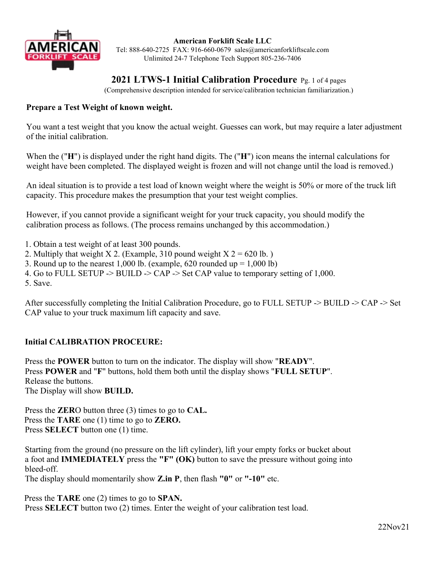

**American Forklift Scale LLC**  Tel: 888-640-2725 FAX: 916-660-0679 sales@americanforkliftscale.com Unlimited 24-7 Telephone Tech Support 805-236-7406

# **2021 LTWS-1 Initial Calibration Procedure** Pg. 1 of 4 pages

(Comprehensive description intended for service/calibration technician familiarization.)

## **Prepare a Test Weight of known weight.**

You want a test weight that you know the actual weight. Guesses can work, but may require a later adjustment of the initial calibration.

When the ("**H**") is displayed under the right hand digits. The ("**H**") icon means the internal calculations for weight have been completed. The displayed weight is frozen and will not change until the load is removed.)

An ideal situation is to provide a test load of known weight where the weight is 50% or more of the truck lift capacity. This procedure makes the presumption that your test weight complies.

However, if you cannot provide a significant weight for your truck capacity, you should modify the calibration process as follows. (The process remains unchanged by this accommodation.)

1. Obtain a test weight of at least 300 pounds.

- 2. Multiply that weight X 2. (Example, 310 pound weight  $X = 620$  lb.)
- 3. Round up to the nearest 1,000 lb. (example,  $620$  rounded up = 1,000 lb)

4. Go to FULL SETUP -> BUILD -> CAP -> Set CAP value to temporary setting of 1,000.

5. Save.

After successfully completing the Initial Calibration Procedure, go to FULL SETUP -> BUILD -> CAP -> Set CAP value to your truck maximum lift capacity and save.

## **Initial CALIBRATION PROCEURE:**

Press the **POWER** button to turn on the indicator. The display will show "**READY**". Press **POWER** and "**F**" buttons, hold them both until the display shows "**FULL SETUP**". Release the buttons. The Display will show **BUILD.**

Press the **ZER**O button three (3) times to go to **CAL.** Press the **TARE** one (1) time to go to **ZERO.** Press **SELECT** button one (1) time.

Starting from the ground (no pressure on the lift cylinder), lift your empty forks or bucket about a foot and **IMMEDIATELY** press the **"F" (OK)** button to save the pressure without going into bleed-off.

The display should momentarily show **Z.in P**, then flash **"0"** or **"-10"** etc.

Press the **TARE** one (2) times to go to **SPAN.** Press **SELECT** button two (2) times. Enter the weight of your calibration test load.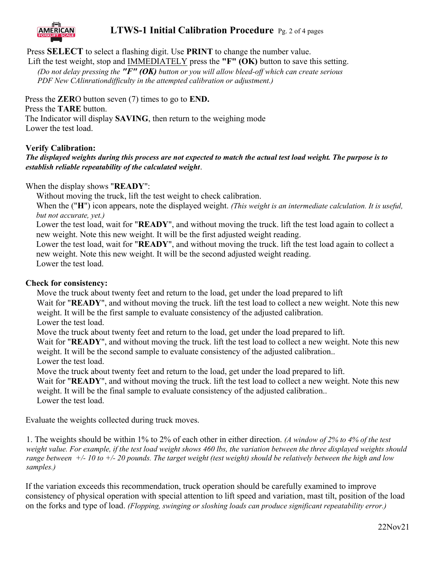

## **LTWS-1 Initial Calibration Procedure** Pg. 2 of 4 pages

Press **SELECT** to select a flashing digit. Use **PRINT** to change the number value.

Lift the test weight, stop and IMMEDIATELY press the **"F" (OK)** button to save this setting. *(Do not delay pressing the "F" (OK) button or you will allow bleed-off which can create serious PDF New CAlinrationdifficulty in the attempted calibration or adjustment.)*

Press the **ZER**O button seven (7) times to go to **END.** Press the **TARE** button. The Indicator will display **SAVING**, then return to the weighing mode Lower the test load.

## **Verify Calibration:**

*The displayed weights during this process are not expected to match the actual test load weight. The purpose is to establish reliable repeatability of the calculated weight*.

When the display shows "**READY**":

Without moving the truck, lift the test weight to check calibration.

When the ("H") icon appears, note the displayed weight. *(This weight is an intermediate calculation. It is useful, but not accurate, yet.)*

Lower the test load, wait for "**READY**", and without moving the truck. lift the test load again to collect a new weight. Note this new weight. It will be the first adjusted weight reading.

Lower the test load, wait for "**READY**", and without moving the truck. lift the test load again to collect a new weight. Note this new weight. It will be the second adjusted weight reading. Lower the test load.

#### **Check for consistency:**

Move the truck about twenty feet and return to the load, get under the load prepared to lift

Wait for "**READY**", and without moving the truck. lift the test load to collect a new weight. Note this new weight. It will be the first sample to evaluate consistency of the adjusted calibration.

Lower the test load.

Move the truck about twenty feet and return to the load, get under the load prepared to lift.

Wait for "**READY**", and without moving the truck. lift the test load to collect a new weight. Note this new weight. It will be the second sample to evaluate consistency of the adjusted calibration..

Lower the test load.

Move the truck about twenty feet and return to the load, get under the load prepared to lift.

Wait for "**READY**", and without moving the truck. lift the test load to collect a new weight. Note this new weight. It will be the final sample to evaluate consistency of the adjusted calibration.. Lower the test load.

Evaluate the weights collected during truck moves.

1. The weights should be within 1% to 2% of each other in either direction. *(A window of 2% to 4% of the test weight value. For example, if the test load weight shows 460 lbs, the variation between the three displayed weights should range between +/- 10 to +/- 20 pounds. The target weight (test weight) should be relatively between the high and low samples.)*

If the variation exceeds this recommendation, truck operation should be carefully examined to improve consistency of physical operation with special attention to lift speed and variation, mast tilt, position of the load on the forks and type of load. *(Flopping, swinging or sloshing loads can produce significant repeatability error.)*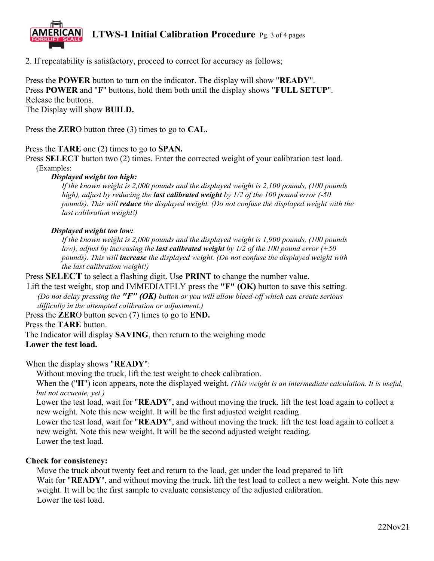

2. If repeatability is satisfactory, proceed to correct for accuracy as follows;

Press the **POWER** button to turn on the indicator. The display will show "**READY**". Press **POWER** and "**F**" buttons, hold them both until the display shows "**FULL SETUP**". Release the buttons. The Display will show **BUILD.**

Press the **ZER**O button three (3) times to go to **CAL.**

#### Press the **TARE** one (2) times to go to **SPAN.**

Press **SELECT** button two (2) times. Enter the corrected weight of your calibration test load. (Examples:

#### *Displayed weight too high:*

*If the known weight is 2,000 pounds and the displayed weight is 2,100 pounds, (100 pounds high), adjust by reducing the last calibrated weight by 1/2 of the 100 pound error (-50 pounds). This will reduce the displayed weight. (Do not confuse the displayed weight with the last calibration weight!)*

#### *Displayed weight too low:*

*If the known weight is 2,000 pounds and the displayed weight is 1,900 pounds, (100 pounds low), adjust by increasing the last calibrated weight by 1/2 of the 100 pound error (+50 pounds). This will increase the displayed weight. (Do not confuse the displayed weight with the last calibration weight!)* 

Press **SELECT** to select a flashing digit. Use **PRINT** to change the number value.

Lift the test weight, stop and IMMEDIATELY press the **"F" (OK)** button to save this setting. *(Do not delay pressing the "F" (OK) button or you will allow bleed-off which can create serious difficulty in the attempted calibration or adjustment.)*

Press the **ZER**O button seven (7) times to go to **END.**

Press the **TARE** button.

The Indicator will display **SAVING**, then return to the weighing mode

**Lower the test load.**

When the display shows "**READY**":

Without moving the truck, lift the test weight to check calibration.

When the ("H") icon appears, note the displayed weight. *(This weight is an intermediate calculation. It is useful, but not accurate, yet.)*

Lower the test load, wait for "**READY**", and without moving the truck. lift the test load again to collect a new weight. Note this new weight. It will be the first adjusted weight reading.

Lower the test load, wait for "**READY**", and without moving the truck. lift the test load again to collect a new weight. Note this new weight. It will be the second adjusted weight reading.

Lower the test load.

#### **Check for consistency:**

Move the truck about twenty feet and return to the load, get under the load prepared to lift Wait for "**READY**", and without moving the truck. lift the test load to collect a new weight. Note this new weight. It will be the first sample to evaluate consistency of the adjusted calibration. Lower the test load.